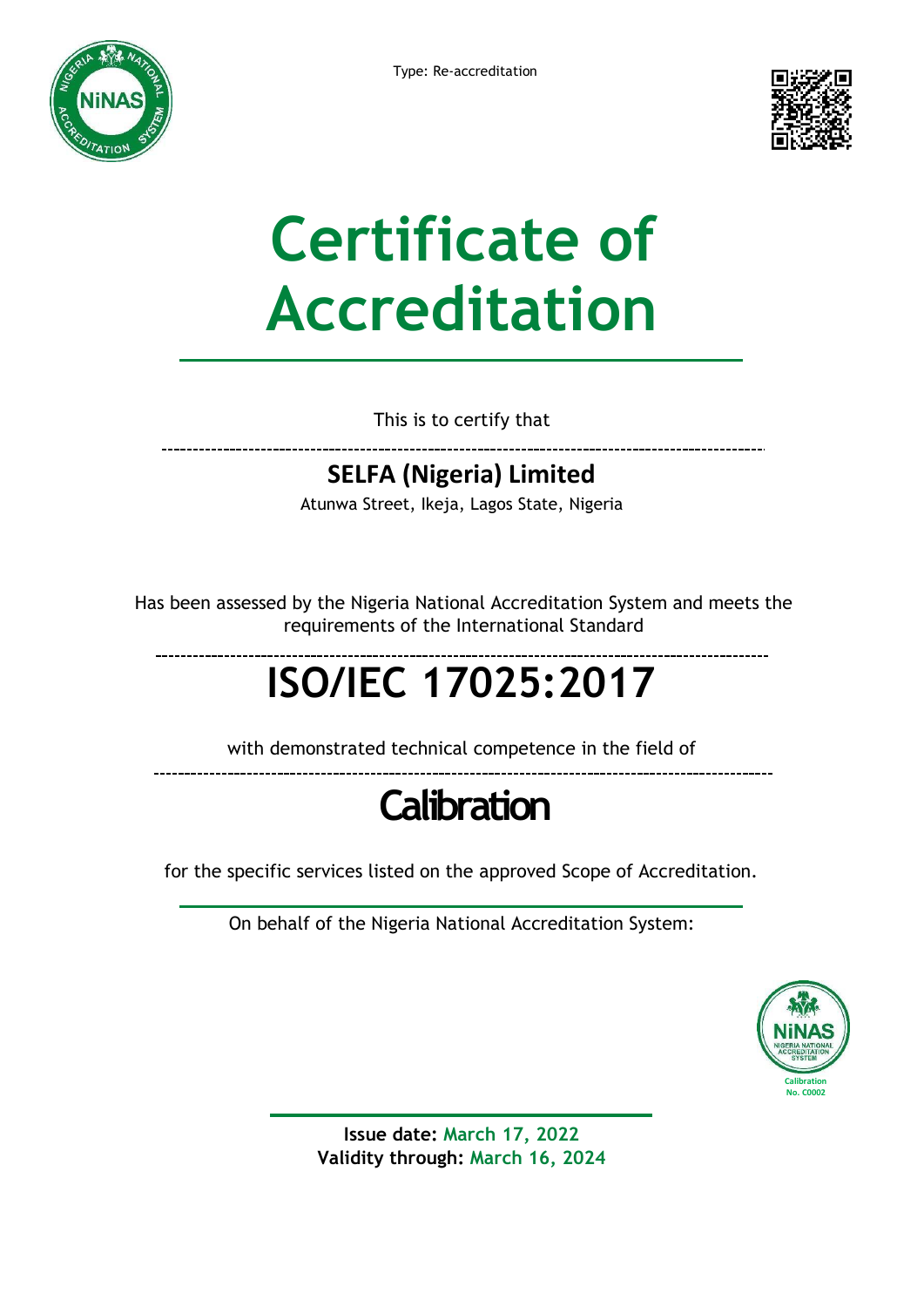



# **Certificate of Accreditation**

This is to certify that

### **SELFA (Nigeria) Limited**

Atunwa Street, Ikeja, Lagos State, Nigeria

Has been assessed by the Nigeria National Accreditation System and meets the requirements of the International Standard

## **ISO/IEC 17025:2017**

with demonstrated technical competence in the field of

### **Calibration**

for the specific services listed on the approved Scope of Accreditation.

On behalf of the Nigeria National Accreditation System:



**Issue date: March 17, 2022 Validity through: March 16, 2024**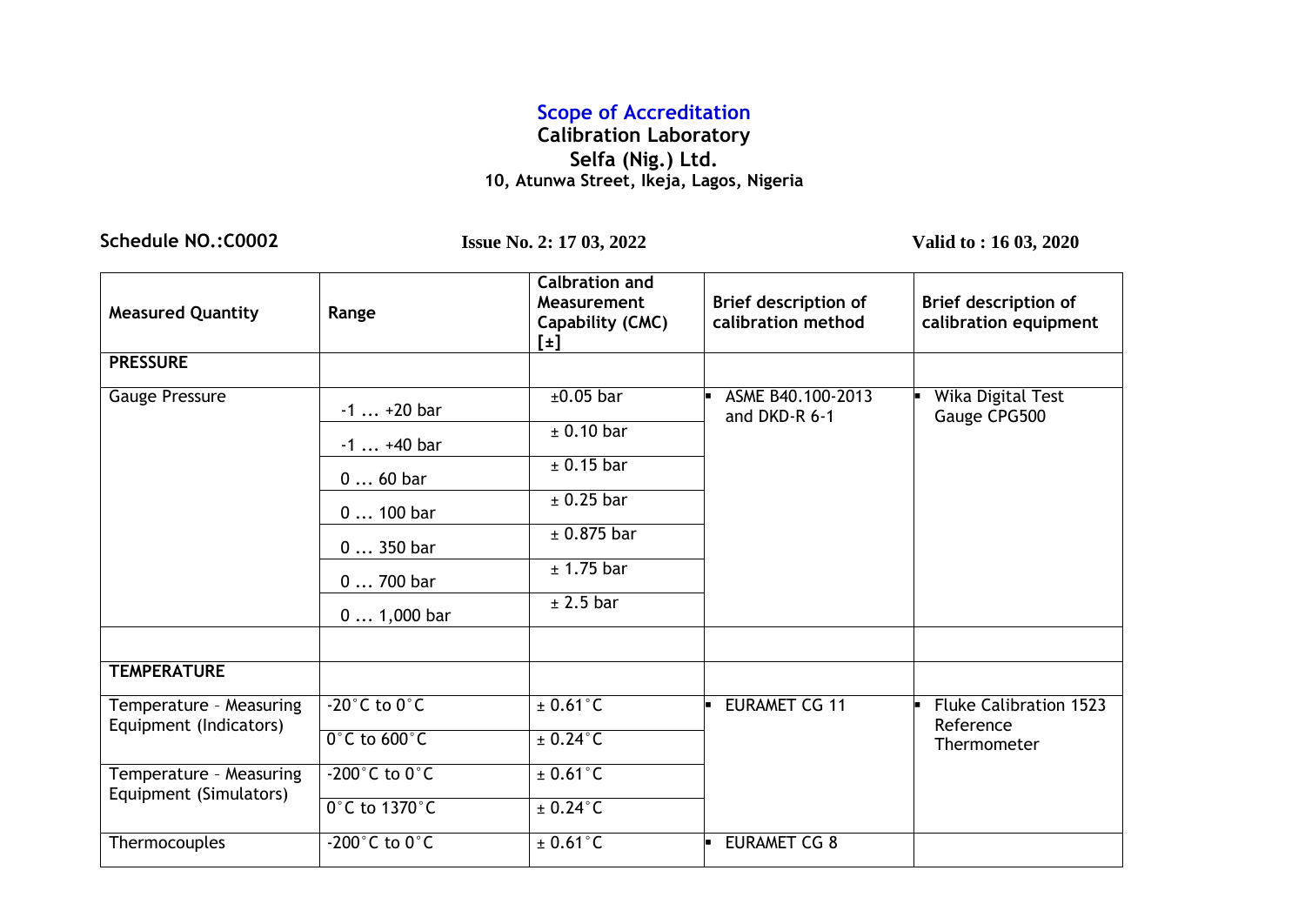### **Scope of Accreditation**

#### **Calibration Laboratory Selfa (Nig.) Ltd. 10, Atunwa Street, Ikeja, Lagos, Nigeria**

**Schedule NO.:C0002 Issue No. 2: 17 03, 2022 Valid to : 16 03, 2020**

| <b>Measured Quantity</b>                          | Range                               | <b>Calbration and</b><br>Measurement<br>Capability (CMC)<br>$[\pm]$ | Brief description of<br>calibration method | <b>Brief description of</b><br>calibration equipment |
|---------------------------------------------------|-------------------------------------|---------------------------------------------------------------------|--------------------------------------------|------------------------------------------------------|
| <b>PRESSURE</b>                                   |                                     |                                                                     |                                            |                                                      |
| Gauge Pressure                                    | $-1+20$ bar                         | $±0.05$ bar                                                         | ASME B40.100-2013<br>and DKD-R 6-1         | <b>Wika Digital Test</b><br>Gauge CPG500             |
|                                                   | $-1+40$ bar                         | $±$ 0.10 bar                                                        |                                            |                                                      |
|                                                   | $060$ bar                           | ± 0.15 bar                                                          |                                            |                                                      |
|                                                   | 0  100 bar                          | $±$ 0.25 bar                                                        |                                            |                                                      |
|                                                   | $0350$ bar                          | ± 0.875 bar                                                         |                                            |                                                      |
|                                                   | 0  700 bar                          | ± 1.75 bar                                                          |                                            |                                                      |
|                                                   | $0 1,000$ bar                       | $±$ 2.5 bar                                                         |                                            |                                                      |
| <b>TEMPERATURE</b>                                |                                     |                                                                     |                                            |                                                      |
| Temperature - Measuring<br>Equipment (Indicators) | $-20^{\circ}$ C to $0^{\circ}$ C    | $\pm$ 0.61 $\degree$ C                                              | <b>EURAMET CG 11</b>                       | <b>Fluke Calibration 1523</b><br>Reference           |
|                                                   | $0^\circ$ C to 600 $^\circ$ C       | $\pm$ 0.24 $^{\circ}$ C                                             |                                            | Thermometer                                          |
| Temperature - Measuring<br>Equipment (Simulators) | $-200^{\circ}$ C to $0^{\circ}$ C   | $\pm$ 0.61 $\degree$ C                                              |                                            |                                                      |
|                                                   | $0^\circ$ C to 1370 $^\circ$ C      | $\pm$ 0.24 $^{\circ}$ C                                             |                                            |                                                      |
| Thermocouples                                     | -200 $^{\circ}$ C to 0 $^{\circ}$ C | $\pm$ 0.61 $^{\circ}$ C                                             | <b>EURAMET CG 8</b>                        |                                                      |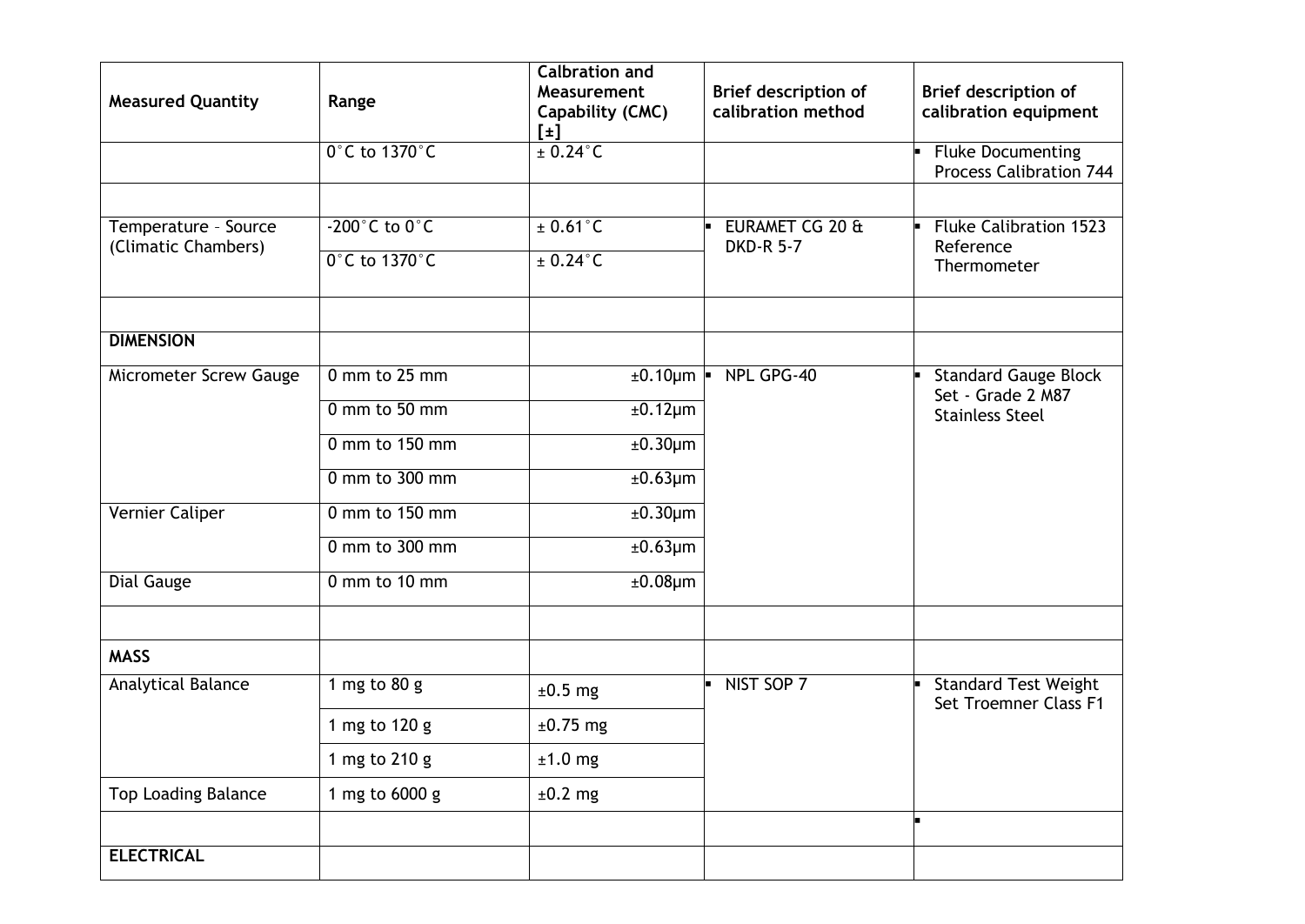| <b>Measured Quantity</b>                    | Range                                                                          | <b>Calbration and</b><br>Measurement<br>Capability (CMC)<br>$[\pm]$             | <b>Brief description of</b><br>calibration method | Brief description of<br>calibration equipment                              |
|---------------------------------------------|--------------------------------------------------------------------------------|---------------------------------------------------------------------------------|---------------------------------------------------|----------------------------------------------------------------------------|
|                                             | $0^\circ$ C to 1370 $^\circ$ C                                                 | $\pm$ 0.24 $\degree$ C                                                          |                                                   | <b>Fluke Documenting</b><br><b>Process Calibration 744</b>                 |
| Temperature - Source<br>(Climatic Chambers) | $-200^{\circ}$ C to $0^{\circ}$ C<br>0°C to 1370°C                             | $± 0.61$ °C<br>$± 0.24$ °C                                                      | EURAMET CG 20 &<br><b>DKD-R 5-7</b>               | <b>Fluke Calibration 1523</b><br>Reference<br>Thermometer                  |
| <b>DIMENSION</b>                            |                                                                                |                                                                                 |                                                   |                                                                            |
| Micrometer Screw Gauge                      | 0 mm to 25 mm<br>$0$ mm to 50 mm<br>0 mm to 150 mm<br>$0 \text{ mm}$ to 300 mm | $±0.10 \mu m$ $\blacksquare$<br>$±0.12 \mu m$<br>$±0.30 \mu m$<br>$±0.63 \mu m$ | NPL GPG-40                                        | <b>Standard Gauge Block</b><br>Set - Grade 2 M87<br><b>Stainless Steel</b> |
| Vernier Caliper                             | $0 \text{ mm}$ to 150 mm<br>0 mm to 300 mm                                     | $±0.30 \mu m$<br>$\overline{\pm}$ 0.63µm                                        |                                                   |                                                                            |
| Dial Gauge                                  | 0 mm to 10 mm                                                                  | $±0.08 \mu m$                                                                   |                                                   |                                                                            |
| <b>MASS</b>                                 |                                                                                |                                                                                 |                                                   |                                                                            |
| Analytical Balance                          | 1 mg to 80 g                                                                   | $±0.5$ mg                                                                       | NIST SOP 7                                        | <b>Standard Test Weight</b><br>Set Troemner Class F1                       |
|                                             | 1 mg to 120 g                                                                  | $±0.75$ mg                                                                      |                                                   |                                                                            |
|                                             | 1 mg to 210 g                                                                  | $±1.0$ mg                                                                       |                                                   |                                                                            |
| Top Loading Balance                         | 1 mg to 6000 g                                                                 | $±0.2$ mg                                                                       |                                                   |                                                                            |
| <b>ELECTRICAL</b>                           |                                                                                |                                                                                 |                                                   |                                                                            |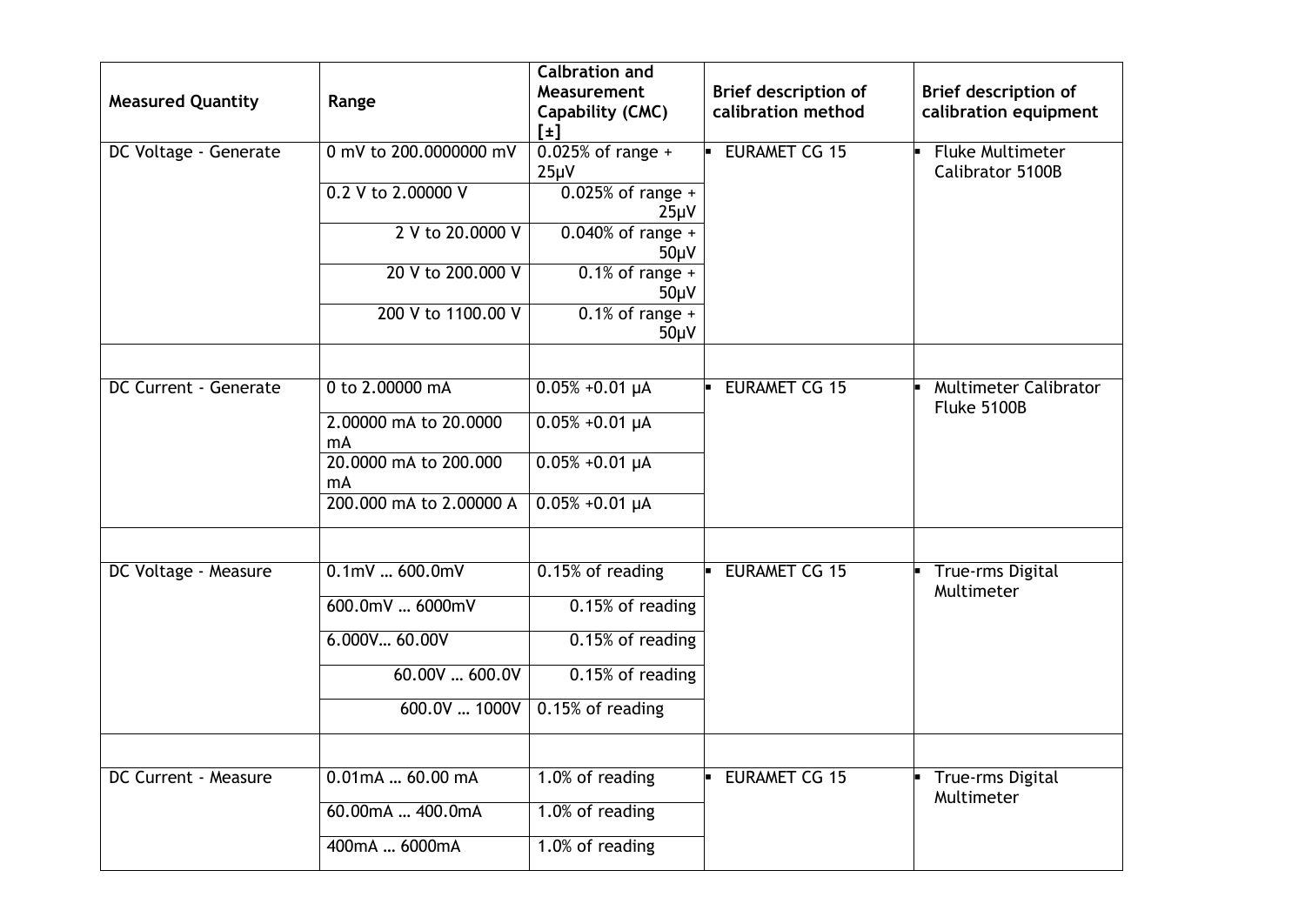| <b>Measured Quantity</b> | Range                       | <b>Calbration and</b><br>Measurement<br>Capability (CMC)<br>$[\pm]$ | Brief description of<br>calibration method | Brief description of<br>calibration equipment |
|--------------------------|-----------------------------|---------------------------------------------------------------------|--------------------------------------------|-----------------------------------------------|
| DC Voltage - Generate    | 0 mV to 200,0000000 mV      | $0.025%$ of range +<br>$25\mu V$                                    | <b>EURAMET CG 15</b>                       | <b>Fluke Multimeter</b><br>Calibrator 5100B   |
|                          | 0.2 V to 2.00000 V          | $0.025%$ of range +<br>$25\mu V$                                    |                                            |                                               |
|                          | 2 V to 20.0000 V            | $0.040\%$ of range +<br>$50\mu V$                                   |                                            |                                               |
|                          | 20 V to 200,000 V           | $0.1\%$ of range +<br>$50\mu V$                                     |                                            |                                               |
|                          | 200 V to 1100.00 V          | $0.1\%$ of range +<br>$50\mu V$                                     |                                            |                                               |
| DC Current - Generate    | 0 to 2.00000 mA             | $0.05\% + 0.01 \mu A$                                               | <b>EURAMET CG 15</b>                       | <b>Multimeter Calibrator</b><br>Fluke 5100B   |
|                          | 2.00000 mA to 20.0000<br>mA | $0.05\% + 0.01 \mu A$                                               |                                            |                                               |
|                          | 20.0000 mA to 200.000<br>mA | $0.05\% + 0.01 \mu A$                                               |                                            |                                               |
|                          | 200,000 mA to 2,00000 A     | $0.05\% + 0.01 \mu A$                                               |                                            |                                               |
| DC Voltage - Measure     | $0.1$ mV $600.0$ mV         | 0.15% of reading                                                    | <b>EURAMET CG 15</b>                       | <b>True-rms Digital</b>                       |
|                          | 600.0mV  6000mV             | 0.15% of reading                                                    |                                            | Multimeter                                    |
|                          | 6.000V 60.00V               | 0.15% of reading                                                    |                                            |                                               |
|                          | 60.00V  600.0V              | 0.15% of reading                                                    |                                            |                                               |
|                          | 600.0V  1000V               | 0.15% of reading                                                    |                                            |                                               |
| DC Current - Measure     | $0.01$ mA $60.00$ mA        | 1.0% of reading                                                     | <b>EURAMET CG 15</b>                       | <b>True-rms Digital</b><br>Multimeter         |
|                          | 60.00mA  400.0mA            | 1.0% of reading                                                     |                                            |                                               |
|                          | 400mA  6000mA               | 1.0% of reading                                                     |                                            |                                               |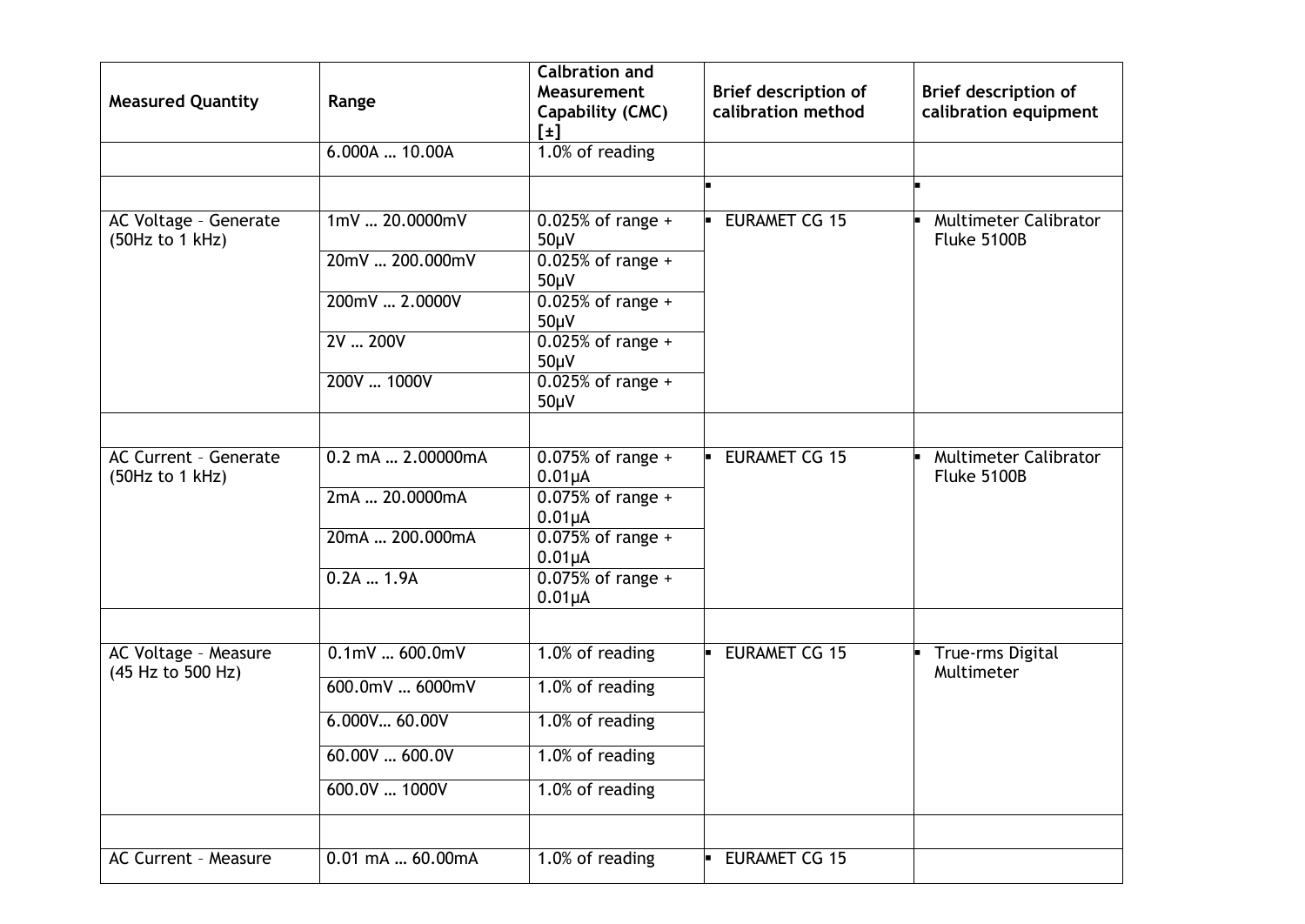| <b>Measured Quantity</b>                  | Range               | <b>Calbration and</b><br>Measurement<br>Capability (CMC)<br>$[\pm]$ | <b>Brief description of</b><br>calibration method | Brief description of<br>calibration equipment |
|-------------------------------------------|---------------------|---------------------------------------------------------------------|---------------------------------------------------|-----------------------------------------------|
|                                           | 6.000A  10.00A      | 1.0% of reading                                                     |                                                   |                                               |
|                                           |                     |                                                                     |                                                   |                                               |
| AC Voltage - Generate<br>(50Hz to 1 kHz)  | 1mV  20.0000mV      | $0.025%$ of range +<br>$50\mu V$                                    | <b>EURAMET CG 15</b><br>b.                        | Multimeter Calibrator<br>Fluke 5100B          |
|                                           | 20mV  200.000mV     | $0.025%$ of range +<br>$50\mu V$                                    |                                                   |                                               |
|                                           | 200mV  2.0000V      | $0.025%$ of range +<br>$50\mu V$                                    |                                                   |                                               |
|                                           | 2V  200V            | $0.025%$ of range +<br>$50\mu V$                                    |                                                   |                                               |
|                                           | 200V  1000V         | $0.025%$ of range +<br>$50\mu V$                                    |                                                   |                                               |
| <b>AC Current - Generate</b>              | 0.2 mA  2.00000mA   | $0.075%$ of range +                                                 | <b>EURAMET CG 15</b>                              | <b>Multimeter Calibrator</b>                  |
| (50Hz to 1 kHz)                           |                     | $0.01\mu A$                                                         |                                                   | Fluke 5100B                                   |
|                                           | 2mA  20.0000mA      | $0.075%$ of range +<br>$0.01\muA$                                   |                                                   |                                               |
|                                           | 20mA  200.000mA     | $0.075%$ of range +<br>$0.01\mu A$                                  |                                                   |                                               |
|                                           | $0.2A$ 1.9A         | $0.075\%$ of range +<br>$0.01\mu A$                                 |                                                   |                                               |
|                                           | $0.1$ mV $600.0$ mV | 1.0% of reading                                                     | <b>EURAMET CG 15</b><br>H.                        | True-rms Digital                              |
| AC Voltage - Measure<br>(45 Hz to 500 Hz) |                     |                                                                     |                                                   | Multimeter                                    |
|                                           | 600.0mV  6000mV     | 1.0% of reading                                                     |                                                   |                                               |
|                                           | 6.000V60.00V        | 1.0% of reading                                                     |                                                   |                                               |
|                                           | 60.00V  600.0V      | 1.0% of reading                                                     |                                                   |                                               |
|                                           | 600.0V  1000V       | 1.0% of reading                                                     |                                                   |                                               |
|                                           |                     |                                                                     |                                                   |                                               |
| <b>AC Current - Measure</b>               | 0.01 mA  60.00mA    | 1.0% of reading                                                     | <b>EURAMET CG 15</b>                              |                                               |